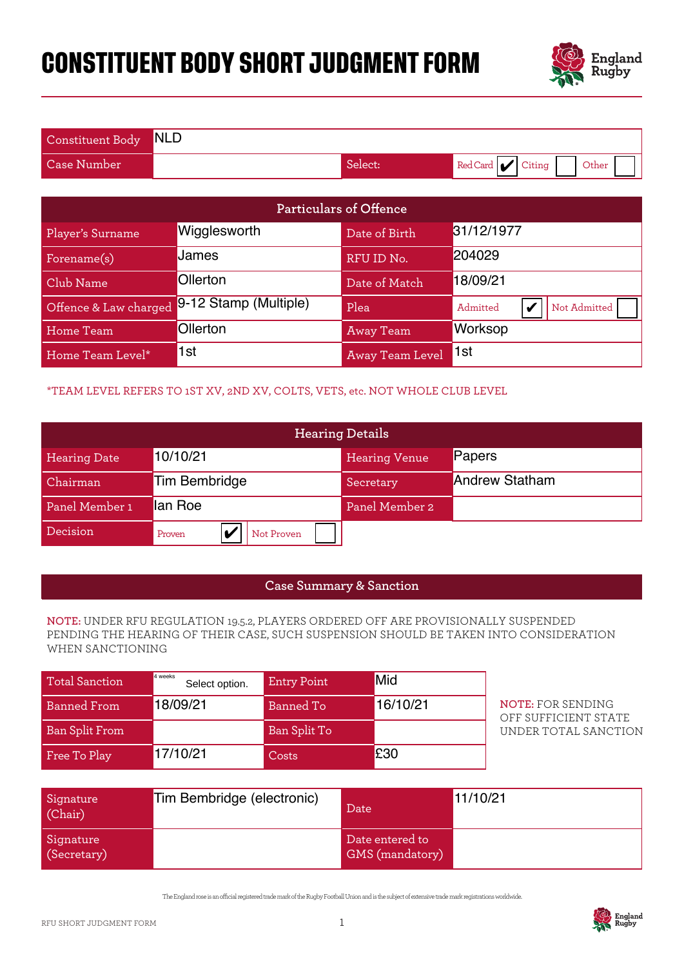# **CONSTITUENT BODY SHORT JUDGMENT FORM**



| Constituent Body NLD |         |                              |
|----------------------|---------|------------------------------|
| <b>Case Number</b>   | Select: | Red Card $ $ Citing<br>Other |

| Particulars of Offence                                                                                                                                                                          |                                                                              |                    |                                    |                                                        |  |
|-------------------------------------------------------------------------------------------------------------------------------------------------------------------------------------------------|------------------------------------------------------------------------------|--------------------|------------------------------------|--------------------------------------------------------|--|
| Player's Surname                                                                                                                                                                                | Wigglesworth                                                                 |                    | Date of Birth                      | 31/12/1977                                             |  |
| Forename(s)                                                                                                                                                                                     | James                                                                        |                    | RFU ID No.                         | 204029                                                 |  |
| Club Name                                                                                                                                                                                       | Ollerton                                                                     |                    | Date of Match                      | 18/09/21                                               |  |
| Offence & Law charged                                                                                                                                                                           | 9-12 Stamp (Multiple)                                                        |                    | Plea                               | Admitted<br>Not Admitted<br>$\boldsymbol{\mathcal{U}}$ |  |
| <b>Home Team</b>                                                                                                                                                                                | Ollerton                                                                     |                    | <b>Away Team</b>                   | Worksop                                                |  |
| Home Team Level*                                                                                                                                                                                | 1st                                                                          |                    | Away Team Level                    | 1st                                                    |  |
|                                                                                                                                                                                                 | *TEAM LEVEL REFERS TO 1ST XV, 2ND XV, COLTS, VETS, etc. NOT WHOLE CLUB LEVEL |                    |                                    |                                                        |  |
|                                                                                                                                                                                                 |                                                                              |                    | <b>Hearing Details</b>             |                                                        |  |
| <b>Hearing Date</b>                                                                                                                                                                             | 10/10/21                                                                     |                    |                                    | Papers                                                 |  |
| Chairman                                                                                                                                                                                        | <b>Tim Bembridge</b>                                                         |                    |                                    | <b>Andrew Statham</b>                                  |  |
| Panel Member 1                                                                                                                                                                                  | lan Roe                                                                      |                    |                                    |                                                        |  |
| Decision                                                                                                                                                                                        | $\boldsymbol{\mathcal{U}}$<br>Not Proven<br>Proven                           |                    |                                    |                                                        |  |
|                                                                                                                                                                                                 |                                                                              |                    |                                    |                                                        |  |
|                                                                                                                                                                                                 |                                                                              |                    | <b>Case Summary &amp; Sanction</b> |                                                        |  |
| NOTE: UNDER RFU REGULATION 19.5.2, PLAYERS ORDERED OFF ARE PROVISIONALLY SUSPENDED<br>PENDING THE HEARING OF THEIR CASE, SUCH SUSPENSION SHOULD BE TAKEN INTO CONSIDERATION<br>WHEN SANCTIONING |                                                                              |                    |                                    |                                                        |  |
| <b>Total Sanction</b>                                                                                                                                                                           | 4 weeks<br>Select option.                                                    | <b>Entry Point</b> | Mid                                |                                                        |  |
| <b>Banned From</b>                                                                                                                                                                              | 18/09/21<br><b>Banned To</b>                                                 |                    | 16/10/21                           | <b>NOTE: FOR SENDING</b><br>OFF SUFFICIENT STATE       |  |
| <b>Ban Split From</b>                                                                                                                                                                           |                                                                              | Ban Split To       |                                    | UNDER TOTAL SANCTION                                   |  |
| Free To Play                                                                                                                                                                                    | 17/10/21                                                                     | Costs              | £30                                |                                                        |  |

### \*TEAM LEVEL REFERS TO 1ST XV, 2ND XV, COLTS, VETS, etc. NOT WHOLE CLUB LEVEL

| <b>Hearing Details</b> |                      |                      |                       |
|------------------------|----------------------|----------------------|-----------------------|
| <b>Hearing Date</b>    | 10/10/21             | <b>Hearing Venue</b> | Papers                |
| Chairman               | Tim Bembridge        | Secretary            | <b>Andrew Statham</b> |
| Panel Member 1         | lan Roe              | Panel Member 2       |                       |
| Decision               | Not Proven<br>Proven |                      |                       |

#### **Case Summary & Sanction**

#### **NOTE:** UNDER RFU REGULATION 19.5.2, PLAYERS ORDERED OFF ARE PROVISIONALLY SUSPENDED PENDING THE HEARING OF THEIR CASE, SUCH SUSPENSION SHOULD BE TAKEN INTO CONSIDERATION WHEN SANCTIONING

| <b>Total Sanction</b> | 4 weeks<br>Select option. | <b>Entry Point</b> | Mid      |
|-----------------------|---------------------------|--------------------|----------|
| <b>Banned From</b>    | 18/09/21                  | Banned To          | 16/10/21 |
| <b>Ban Split From</b> |                           | Ban Split To       |          |
| Free To Play          | 17/10/21                  | Costs              | £30      |

| Signature<br>(Chair)     | Tim Bembridge (electronic) | Date                                      | 11/10/21 |
|--------------------------|----------------------------|-------------------------------------------|----------|
| Signature<br>(Secretary) |                            | Date entered to<br><b>GMS</b> (mandatory) |          |

The England rose is an ocial registered trade mark of the Rugby Football Union and is the subject of extensive trade mark registrations worldwide.

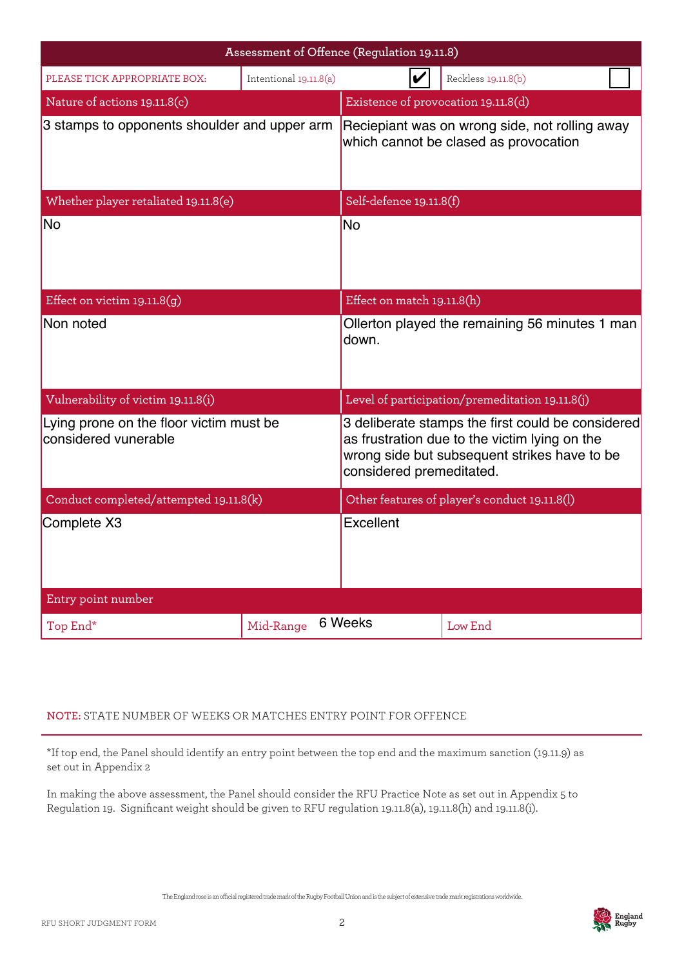| Assessment of Offence (Regulation 19.11.8)                      |                        |           |                                                                                                                                                                                |  |  |
|-----------------------------------------------------------------|------------------------|-----------|--------------------------------------------------------------------------------------------------------------------------------------------------------------------------------|--|--|
| PLEASE TICK APPROPRIATE BOX:                                    | Intentional 19.11.8(a) |           | Reckless 19.11.8(b)                                                                                                                                                            |  |  |
| Nature of actions 19.11.8(c)                                    |                        |           | Existence of provocation 19.11.8(d)                                                                                                                                            |  |  |
| 3 stamps to opponents shoulder and upper arm                    |                        |           | Reciepiant was on wrong side, not rolling away<br>which cannot be clased as provocation                                                                                        |  |  |
| Whether player retaliated 19.11.8(e)                            |                        |           | Self-defence 19.11.8(f)                                                                                                                                                        |  |  |
| No                                                              |                        | No        |                                                                                                                                                                                |  |  |
| Effect on victim $19.11.8(g)$                                   |                        |           | Effect on match 19.11.8(h)                                                                                                                                                     |  |  |
| Non noted                                                       |                        | down.     | Ollerton played the remaining 56 minutes 1 man                                                                                                                                 |  |  |
| Vulnerability of victim 19.11.8(i)                              |                        |           | Level of participation/premeditation 19.11.8(j)                                                                                                                                |  |  |
| Lying prone on the floor victim must be<br>considered vunerable |                        |           | 3 deliberate stamps the first could be considered<br>as frustration due to the victim lying on the<br>wrong side but subsequent strikes have to be<br>considered premeditated. |  |  |
| Conduct completed/attempted 19.11.8(k)                          |                        |           | Other features of player's conduct 19.11.8(l)                                                                                                                                  |  |  |
| Complete X3                                                     |                        | Excellent |                                                                                                                                                                                |  |  |
| Entry point number                                              |                        |           |                                                                                                                                                                                |  |  |
| Top End*                                                        | Mid-Range              | 6 Weeks   | Low End                                                                                                                                                                        |  |  |

## **NOTE:** STATE NUMBER OF WEEKS OR MATCHES ENTRY POINT FOR OFFENCE

\*If top end, the Panel should identify an entry point between the top end and the maximum sanction (19.11.9) as set out in Appendix 2

In making the above assessment, the Panel should consider the RFU Practice Note as set out in Appendix 5 to Regulation 19. Significant weight should be given to RFU regulation 19.11.8(a), 19.11.8(h) and 19.11.8(i).

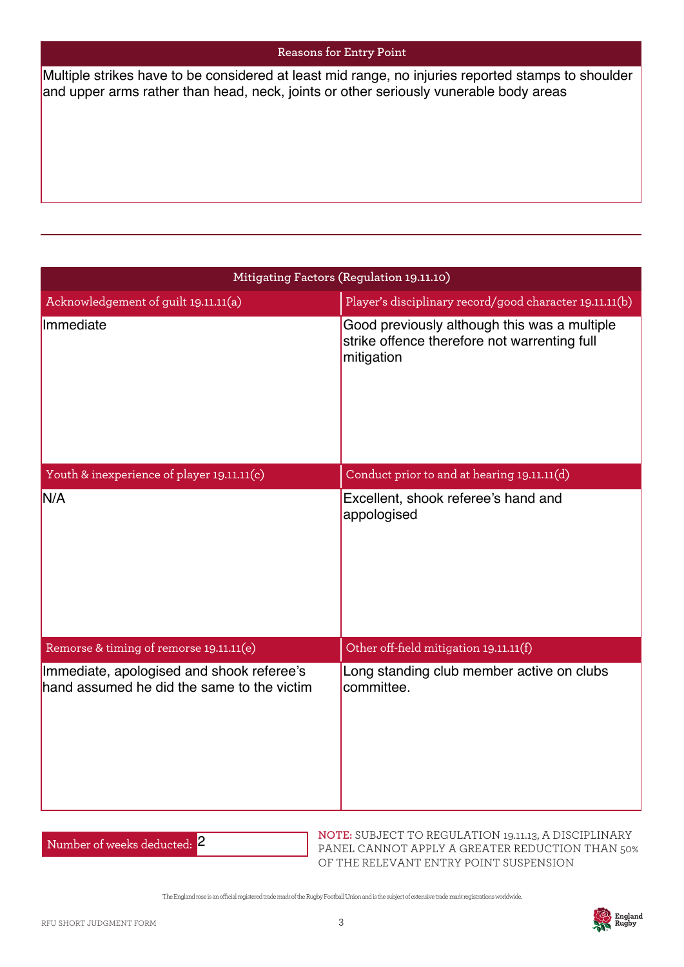#### **Reasons for Entry Point**

and upper arms rather than head, neck, joints or other seriously vunerable body areas

| Multiple strikes have to be considered at least mid range, no injuries reported stamps to shoulder<br>and upper arms rather than head, neck, joints or other seriously vunerable body areas |                                                                                                                                                                       |
|---------------------------------------------------------------------------------------------------------------------------------------------------------------------------------------------|-----------------------------------------------------------------------------------------------------------------------------------------------------------------------|
|                                                                                                                                                                                             |                                                                                                                                                                       |
|                                                                                                                                                                                             | Mitigating Factors (Regulation 19.11.10)                                                                                                                              |
| Acknowledgement of guilt 19.11.11(a)<br>Immediate                                                                                                                                           | Player's disciplinary record/good character 19.11.11(b)<br>Good previously although this was a multiple<br>strike offence therefore not warrenting full<br>mitigation |
|                                                                                                                                                                                             |                                                                                                                                                                       |
| Youth & inexperience of player 19.11.11(c)                                                                                                                                                  | Conduct prior to and at hearing 19.11.11(d)                                                                                                                           |
| N/A                                                                                                                                                                                         | Excellent, shook referee's hand and<br>appologised                                                                                                                    |
| Remorse & timing of remorse 19.11.11(e)                                                                                                                                                     | Other off-field mitigation 19.11.11(f)                                                                                                                                |
| Immediate, apologised and shook referee's<br>hand assumed he did the same to the victim                                                                                                     | Long standing club member active on clubs<br>committee.                                                                                                               |

Number of weeks deducted: <mark>2</mark>

**NOTE:** SUBJECT TO REGULATION 19.11.13, A DISCIPLINARY PANEL CANNOT APPLY A GREATER REDUCTION THAN 50% OF THE RELEVANT ENTRY POINT SUSPENSION

The England rose is an ocial registered trade mark of the Rugby Football Union and is the subject of extensive trade mark registrations worldwide.